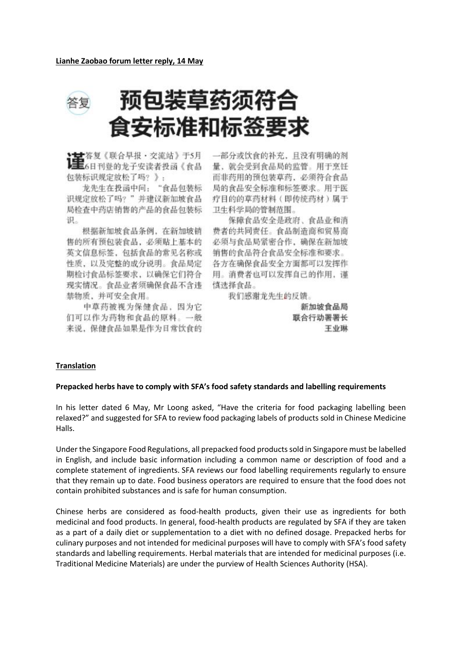## 预包装草药须符合 食安标准和标签要求

☆ ■ 答复《联合早报·交流站》于5月 **上**6日刊登的龙子安读者投函《食品 包装标识规定放松了吗?》:

龙先生在投函中问: "食品包装标 识规定放松了吗?"并建议新加坡食品 局检查中药店销售的产品的食品包装标 识。

根据新加坡食品条例, 在新加坡销 售的所有预包装食品,必须贴上基本的 英文信息标签, 包括食品的常见名称或 性质,以及完整的成分说明。食品局定 期检讨食品标签要求,以确保它们符合 现实情况。食品业者须确保食品不含违 禁物质、并可安全食用。

中草药被视为保健食品, 因为它 们可以作为药物和食品的原料。一般 来说, 保健食品如果是作为日常饮食的

一部分或饮食的补充,且没有明确的剂 量, 就会受到食品局的监管。用于烹饪 而非药用的预包装草药, 必须符合食品 局的食品安全标准和标签要求。用于医 疗目的的草药材料(即传统药材)属于 卫生科学局的管制范围。

保障食品安全是政府、食品业和消 费者的共同责任。食品制造商和贸易商 必须与食品局紧密合作, 确保在新加坡 销售的食品符合食品安全标准和要求。 各方在确保食品安全方面都可以发挥作 用。消费者也可以发挥自己的作用,谨 慎选择食品。

我们感谢龙先生的反馈。

新加坡食品局 联合行动署署长 王业琳

## **Translation**

## **Prepacked herbs have to comply with SFA's food safety standards and labelling requirements**

In his letter dated 6 May, Mr Loong asked, "Have the criteria for food packaging labelling been relaxed?" and suggested for SFA to review food packaging labels of products sold in Chinese Medicine Halls.

Under the Singapore Food Regulations, all prepacked food products sold in Singapore must be labelled in English, and include basic information including a common name or description of food and a complete statement of ingredients. SFA reviews our food labelling requirements regularly to ensure that they remain up to date. Food business operators are required to ensure that the food does not contain prohibited substances and is safe for human consumption.

Chinese herbs are considered as food-health products, given their use as ingredients for both medicinal and food products. In general, food-health products are regulated by SFA if they are taken as a part of a daily diet or supplementation to a diet with no defined dosage. Prepacked herbs for culinary purposes and not intended for medicinal purposes will have to comply with SFA's food safety standards and labelling requirements. Herbal materials that are intended for medicinal purposes (i.e. Traditional Medicine Materials) are under the purview of Health Sciences Authority (HSA).